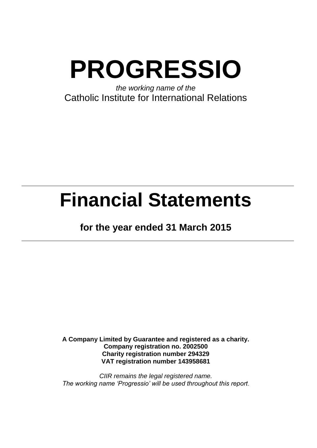*the working name of the* Catholic Institute for International Relations

# **Financial Statements**

# **for the year ended 31 March 2015**

**A Company Limited by Guarantee and registered as a charity. Company registration no. 2002500 Charity registration number 294329 VAT registration number 143958681**

*CIIR remains the legal registered name. The working name 'Progressio' will be used throughout this report.*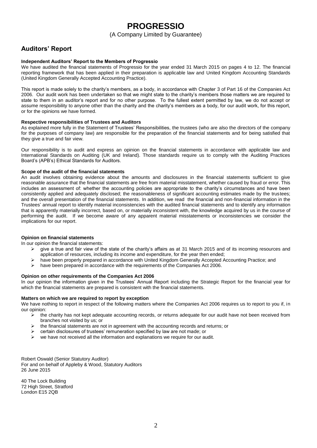(A Company Limited by Guarantee)

# **Auditors' Report**

#### **Independent Auditors' Report to the Members of Progressio**

We have audited the financial statements of Progressio for the year ended 31 March 2015 on pages 4 to 12. The financial reporting framework that has been applied in their preparation is applicable law and United Kingdom Accounting Standards (United Kingdom Generally Accepted Accounting Practice).

This report is made solely to the charity's members, as a body, in accordance with Chapter 3 of Part 16 of the Companies Act 2006. Our audit work has been undertaken so that we might state to the charity's members those matters we are required to state to them in an auditor's report and for no other purpose. To the fullest extent permitted by law, we do not accept or assume responsibility to anyone other than the charity and the charity's members as a body, for our audit work, for this report, or for the opinions we have formed.

#### **Respective responsibilities of Trustees and Auditors**

As explained more fully in the Statement of Trustees' Responsibilities, the trustees (who are also the directors of the company for the purposes of company law) are responsible for the preparation of the financial statements and for being satisfied that they give a true and fair view.

Our responsibility is to audit and express an opinion on the financial statements in accordance with applicable law and International Standards on Auditing (UK and Ireland). Those standards require us to comply with the Auditing Practices Board's (APB's) Ethical Standards for Auditors.

#### **Scope of the audit of the financial statements**

An audit involves obtaining evidence about the amounts and disclosures in the financial statements sufficient to give reasonable assurance that the financial statements are free from material misstatement, whether caused by fraud or error. This includes an assessment of: whether the accounting policies are appropriate to the charity's circumstances and have been consistently applied and adequately disclosed; the reasonableness of significant accounting estimates made by the trustees; and the overall presentation of the financial statements. In addition, we read the financial and non-financial information in the Trustees' annual report to identify material inconsistencies with the audited financial statements and to identify any information that is apparently materially incorrect, based on, or materially inconsistent with, the knowledge acquired by us in the course of performing the audit. If we become aware of any apparent material misstatements or inconsistencies we consider the implications for our report.

#### **Opinion on financial statements**

In our opinion the financial statements:

- $\triangleright$  give a true and fair view of the state of the charity's affairs as at 31 March 2015 and of its incoming resources and application of resources, including its income and expenditure, for the year then ended;
- $\triangleright$  have been properly prepared in accordance with United Kingdom Generally Accepted Accounting Practice; and  $\triangleright$  have been prepared in accordance with the requirements of the Companies Act 2006.
- have been prepared in accordance with the requirements of the Companies Act 2006.

# **Opinion on other requirements of the Companies Act 2006**

In our opinion the information given in the Trustees' Annual Report including the Strategic Report for the financial year for which the financial statements are prepared is consistent with the financial statements.

# **Matters on which we are required to report by exception**

We have nothing to report in respect of the following matters where the Companies Act 2006 requires us to report to you if, in our opinion:

- $\triangleright$  the charity has not kept adequate accounting records, or returns adequate for our audit have not been received from branches not visited by us; or
- $\triangleright$  the financial statements are not in agreement with the accounting records and returns; or
- certain disclosures of trustees' remuneration specified by law are not made; or
- $\triangleright$  we have not received all the information and explanations we require for our audit.

Robert Oswald (Senior Statutory Auditor) For and on behalf of Appleby & Wood, Statutory Auditors 26 June 2015

40 The Lock Building 72 High Street, Stratford London E15 2QB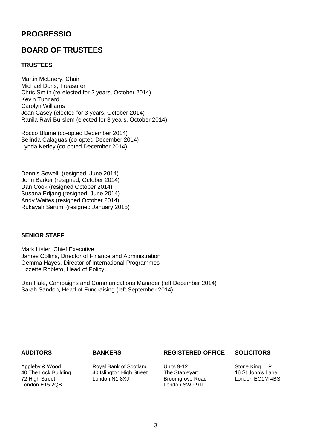# **BOARD OF TRUSTEES**

# **TRUSTEES**

Martin McEnery, Chair Michael Doris, Treasurer Chris Smith (re-elected for 2 years, October 2014) Kevin Tunnard Carolyn Williams Jean Casey (elected for 3 years, October 2014) Ranila Ravi-Burslem (elected for 3 years, October 2014)

Rocco Blume (co-opted December 2014) Belinda Calaguas (co-opted December 2014) Lynda Kerley (co-opted December 2014)

Dennis Sewell, (resigned, June 2014) John Barker (resigned, October 2014) Dan Cook (resigned October 2014) Susana Edjang (resigned, June 2014) Andy Waites (resigned October 2014) Rukayah Sarumi (resigned January 2015)

# **SENIOR STAFF**

Mark Lister, Chief Executive James Collins, Director of Finance and Administration Gemma Hayes, Director of International Programmes Lizzette Robleto, Head of Policy

Dan Hale, Campaigns and Communications Manager (left December 2014) Sarah Sandon, Head of Fundraising (left September 2014)

Appleby & Wood 40 The Lock Building 72 High Street London E15 2QB

Royal Bank of Scotland 40 Islington High Street London N1 8XJ

**AUDITORS BANKERS REGISTERED OFFICE SOLICITORS**

Units 9-12 The Stableyard Broomgrove Road London SW9 9TL

Stone King LLP 16 St John's Lane London EC1M 4BS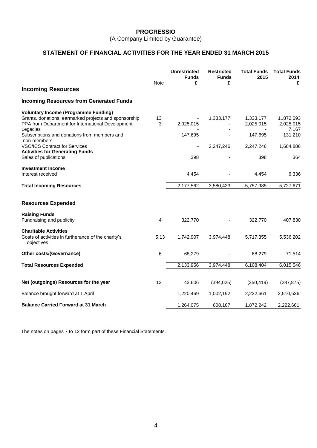(A Company Limited by Guarantee)

# **STATEMENT OF FINANCIAL ACTIVITIES FOR THE YEAR ENDED 31 MARCH 2015**

|                                                                                                                                                                       | Note           | <b>Unrestricted</b><br><b>Funds</b><br>£ | <b>Restricted</b><br><b>Funds</b><br>£ | <b>Total Funds</b><br>2015 | <b>Total Funds</b><br>2014<br>£  |
|-----------------------------------------------------------------------------------------------------------------------------------------------------------------------|----------------|------------------------------------------|----------------------------------------|----------------------------|----------------------------------|
| <b>Incoming Resources</b>                                                                                                                                             |                |                                          |                                        |                            |                                  |
| <b>Incoming Resources from Generated Funds</b>                                                                                                                        |                |                                          |                                        |                            |                                  |
| <b>Voluntary Income (Programme Funding)</b><br>Grants, donations, earmarked projects and sponsorship<br>PPA from Department for International Development<br>Legacies | 13<br>3        | 2,025,015                                | 1,333,177                              | 1,333,177<br>2,025,015     | 1,,872.693<br>2,025,015<br>7,167 |
| Subscriptions and donations from members and<br>non-members                                                                                                           |                | 147,695                                  |                                        | 147,695                    | 131,210                          |
| <b>VSO/ICS Contract for Services</b><br><b>Activities for Generating Funds</b>                                                                                        |                |                                          | 2,247,246                              | 2,247,246                  | 1,684,886                        |
| Sales of publications                                                                                                                                                 |                | 398                                      |                                        | 398                        | 364                              |
| <b>Investment Income</b><br>Interest received                                                                                                                         |                | 4,454                                    |                                        | 4,454                      | 6,336                            |
| <b>Total Incoming Resources</b>                                                                                                                                       |                | 2,177,562                                | 3,580,423                              | 5,757,985                  | 5,727,671                        |
| <b>Resources Expended</b>                                                                                                                                             |                |                                          |                                        |                            |                                  |
| <b>Raising Funds</b><br>Fundraising and publicity                                                                                                                     | $\overline{4}$ | 322,770                                  |                                        | 322,770                    | 407,830                          |
| <b>Charitable Activities</b><br>Costs of activities in furtherance of the charity's<br>objectives                                                                     | 5,13           | 1,742,907                                | 3,974,448                              | 5,717,355                  | 5,536,202                        |
| Other costs/(Governance)                                                                                                                                              | 6              | 68,279                                   |                                        | 68,279                     | 71,514                           |
| <b>Total Resources Expended</b>                                                                                                                                       |                | 2,133,956                                | 3,974,448                              | 6,108,404                  | 6,015,546                        |
| Net (outgoings) Resources for the year                                                                                                                                | 13             | 43,606                                   | (394, 025)                             | (350, 419)                 | (287, 875)                       |
| Balance brought forward at 1 April                                                                                                                                    |                | 1,220,469                                | 1,002,192                              | 2,222,661                  | 2,510,536                        |
| <b>Balance Carried Forward at 31 March</b>                                                                                                                            |                | 1,264,075                                | 608,167                                | 1,872,242                  | 2,222,661                        |

The notes on pages 7 to 12 form part of these Financial Statements.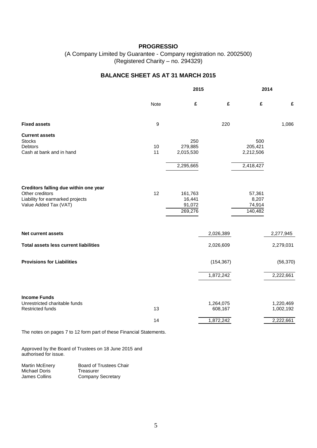(A Company Limited by Guarantee - Company registration no. 2002500) (Registered Charity – no. 294329)

# **BALANCE SHEET AS AT 31 MARCH 2015**

|                                                                                                                       |                  |                                        | 2015                 |                                      | 2014                   |  |
|-----------------------------------------------------------------------------------------------------------------------|------------------|----------------------------------------|----------------------|--------------------------------------|------------------------|--|
|                                                                                                                       | Note             | £                                      | £                    | £                                    | £                      |  |
| <b>Fixed assets</b>                                                                                                   | $\boldsymbol{9}$ |                                        | 220                  |                                      | 1,086                  |  |
| <b>Current assets</b><br><b>Stocks</b><br><b>Debtors</b><br>Cash at bank and in hand                                  | 10<br>11         | 250<br>279,885<br>2,015,530            |                      | 500<br>205,421<br>2,212,506          |                        |  |
|                                                                                                                       |                  | 2,295,665                              |                      | 2,418,427                            |                        |  |
| Creditors falling due within one year<br>Other creditors<br>Liability for earmarked projects<br>Value Added Tax (VAT) | 12               | 161,763<br>16,441<br>91,072<br>269,276 |                      | 57,361<br>8,207<br>74,914<br>140,482 |                        |  |
| <b>Net current assets</b>                                                                                             |                  |                                        | 2,026,389            |                                      | 2,277,945              |  |
| <b>Total assets less current liabilities</b>                                                                          |                  |                                        | 2,026,609            |                                      | 2,279,031              |  |
| <b>Provisions for Liabilities</b>                                                                                     |                  |                                        | (154, 367)           |                                      | (56, 370)              |  |
|                                                                                                                       |                  |                                        | 1,872,242            |                                      | 2,222,661              |  |
| <b>Income Funds</b><br>Unrestricted charitable funds<br><b>Restricted funds</b>                                       | 13               |                                        | 1,264,075<br>608,167 |                                      | 1,220,469<br>1,002,192 |  |
|                                                                                                                       | 14               |                                        | 1,872,242            |                                      | 2,222,661              |  |

The notes on pages 7 to 12 form part of these Financial Statements.

Approved by the Board of Trustees on 18 June 2015 and authorised for issue.

| Martin McEnery | Board of Trustees Chair  |
|----------------|--------------------------|
| Michael Doris  | Treasurer                |
| James Collins  | <b>Company Secretary</b> |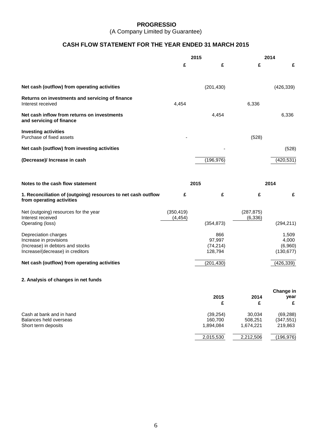(A Company Limited by Guarantee)

# **CASH FLOW STATEMENT FOR THE YEAR ENDED 31 MARCH 2015**

|                                                                                                                        |                        | 2015                                  |                        | 2014                                    |  |
|------------------------------------------------------------------------------------------------------------------------|------------------------|---------------------------------------|------------------------|-----------------------------------------|--|
|                                                                                                                        | £                      | £                                     | £                      | £                                       |  |
|                                                                                                                        |                        |                                       |                        |                                         |  |
| Net cash (outflow) from operating activities                                                                           |                        | (201, 430)                            |                        | (426, 339)                              |  |
| Returns on investments and servicing of finance<br>Interest received                                                   | 4,454                  |                                       | 6,336                  |                                         |  |
| Net cash inflow from returns on investments<br>and servicing of finance                                                |                        | 4,454                                 |                        | 6,336                                   |  |
| <b>Investing activities</b><br>Purchase of fixed assets                                                                |                        |                                       | (528)                  |                                         |  |
| Net cash (outflow) from investing activities                                                                           |                        |                                       |                        | (528)                                   |  |
| (Decrease)/ Increase in cash                                                                                           |                        | (196, 976)                            |                        | (420, 531)                              |  |
| Notes to the cash flow statement                                                                                       |                        | 2015                                  |                        | 2014                                    |  |
| 1. Reconciliation of (outgoing) resources to net cash outflow<br>from operating activities                             | £                      | £                                     | £                      | £                                       |  |
| Net (outgoing) resources for the year<br>Interest received<br>Operating (loss)                                         | (350, 419)<br>(4, 454) | (354, 873)                            | (287, 875)<br>(6, 336) | (294, 211)                              |  |
| Depreciation charges<br>Increase in provisions<br>(Increase) in debtors and stocks<br>Increase/(decrease) in creditors |                        | 866<br>97,997<br>(74, 214)<br>128,794 |                        | 1,509<br>4,000<br>(6,960)<br>(130, 677) |  |
| Net cash (outflow) from operating activities                                                                           |                        | (201, 430)                            |                        | (426, 339)                              |  |
| 2. Analysis of changes in net funds                                                                                    |                        |                                       |                        |                                         |  |

|                          |           |           | Change in<br>year<br>£ |
|--------------------------|-----------|-----------|------------------------|
|                          | 2015      | 2014      |                        |
|                          | £         | £         |                        |
| Cash at bank and in hand | (39, 254) | 30,034    | (69, 288)              |
| Balances held overseas   | 160.700   | 508.251   | (347, 551)             |
| Short term deposits      | 1,894,084 | 1,674,221 | 219,863                |
|                          | 2,015,530 | 2,212,506 | (196,976)              |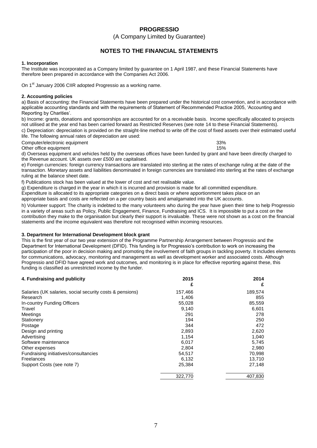(A Company Limited by Guarantee)

# **NOTES TO THE FINANCIAL STATEMENTS**

## **1. Incorporation**

The Institute was incorporated as a Company limited by guarantee on 1 April 1987, and these Financial Statements have therefore been prepared in accordance with the Companies Act 2006.

On 1<sup>st</sup> January 2006 CIIR adopted Progressio as a working name.

## **2. Accounting policies**

a) Basis of accounting: the Financial Statements have been prepared under the historical cost convention, and in accordance with applicable accounting standards and with the requirements of Statement of Recommended Practice 2005, 'Accounting and Reporting by Charities'.

b) Income: grants, donations and sponsorships are accounted for on a receivable basis. Income specifically allocated to projects not utilised at the year end has been carried forward as Restricted Reserves (see note 14 to these Financial Statements). c) Depreciation: depreciation is provided on the straight-line method to write off the cost of fixed assets over their estimated useful

life. The following annual rates of depreciation are used:

Computer/electronic equipment 33% Other office equipment 15%

d) Overseas equipment and vehicles held by the overseas offices have been funded by grant and have been directly charged to the Revenue account. UK assets over £500 are capitalised.

e) Foreign currencies: foreign currency transactions are translated into sterling at the rates of exchange ruling at the date of the transaction. Monetary assets and liabilities denominated in foreign currencies are translated into sterling at the rates of exchange ruling at the balance sheet date.

f) Publications stock has been valued at the lower of cost and net realisable value.

g) Expenditure is charged in the year in which it is incurred and provision is made for all committed expenditure.

Expenditure is allocated to its appropriate categories on a direct basis or where apportionment takes place on an

appropriate basis and costs are reflected on a per country basis and amalgamated into the UK accounts.

h) Volunteer support: The charity is indebted to the many volunteers who during the year have given their time to help Progressio in a variety of areas such as Policy, Public Engagement, Finance, Fundraising and ICS. It is impossible to put a cost on the contribution they make to the organisation but clearly their support is invaluable. These were not shown as a cost on the financial statements and the income equivalent was therefore not recognised within incoming resources.

# **3. Department for International Development block grant**

This is the first year of our two year extension of the Programme Partnership Arrangement between Progressio and the Department for International Development (DFID). This funding is for Progressio's contribution to work on increasing the participation of the poor in decision making and promoting the involvement of faith groups in tackling poverty. It includes elements for communications, advocacy, monitoring and management as well as development worker and associated costs. Although Progressio and DFID have agreed work and outcomes, and monitoring is in place for effective reporting against these, this funding is classified as unrestricted income by the funder.

| 4. Fundraising and publicity                             | 2015    | 2014    |
|----------------------------------------------------------|---------|---------|
|                                                          | £       | £       |
| Salaries (UK salaries, social security costs & pensions) | 157,466 | 189,574 |
| Research                                                 | 1,406   | 855     |
| In-country Funding Officers                              | 55,028  | 85,559  |
| Travel                                                   | 9.140   | 6,601   |
| <b>Meetings</b>                                          | 291     | 278     |
| Stationery                                               | 194     | 250     |
| Postage                                                  | 344     | 472     |
| Design and printing                                      | 2,893   | 2,620   |
| Advertising                                              | 1,154   | 1,040   |
| Software maintenance                                     | 6,017   | 5,745   |
| Other expenses                                           | 2,804   | 2,980   |
| Fundraising initiatives/consultancies                    | 54,517  | 70,998  |
| Freelances                                               | 6,132   | 13,710  |
| Support Costs (see note 7)                               | 25,384  | 27,148  |
|                                                          | 322,770 | 407,830 |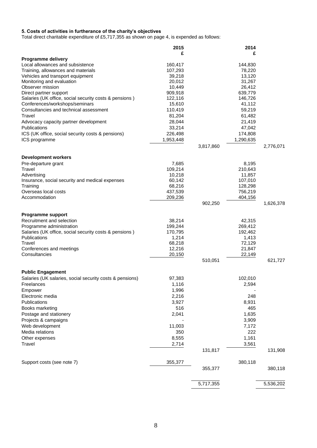#### **5. Costs of activities in furtherance of the charity's objectives**

Total direct charitable expenditure of £5,717,355 as shown on page 4, is expended as follows:

|                                                                                  | 2015               |           | 2014              |           |
|----------------------------------------------------------------------------------|--------------------|-----------|-------------------|-----------|
|                                                                                  | £                  |           | £                 |           |
| <b>Programme delivery</b>                                                        |                    |           |                   |           |
| Local allowances and subsistence                                                 | 160,417            |           | 144,830           |           |
| Training, allowances and materials                                               | 107,293            |           | 78,220            |           |
| Vehicles and transport equipment                                                 | 39,218             |           | 13,120            |           |
| Monitoring and evaluation                                                        | 20,012             |           | 31,267            |           |
| Observer mission                                                                 | 10,449             |           | 26,412<br>639,779 |           |
| Direct partner support<br>Salaries (UK office, social security costs & pensions) | 909,918<br>122,116 |           | 146,726           |           |
| Conferences/workshops/seminars                                                   | 15,610             |           | 41,112            |           |
| Consultancies and technical assessment                                           | 110,419            |           | 59,219            |           |
| Travel                                                                           | 81,204             |           | 61,482            |           |
|                                                                                  | 28,044             |           | 21,419            |           |
| Advocacy capacity partner development<br><b>Publications</b>                     |                    |           |                   |           |
|                                                                                  | 33,214             |           | 47,042            |           |
| ICS (UK office, social security costs & pensions)                                | 226,498            |           | 174,808           |           |
| ICS programme                                                                    | 1,953,448          |           | 1,290,635         |           |
|                                                                                  |                    | 3,817,860 |                   | 2,776,071 |
| <b>Development workers</b>                                                       |                    |           |                   |           |
|                                                                                  | 7,685              |           | 8,195             |           |
| Pre-departure grant<br>Travel                                                    | 109,214            |           | 210,643           |           |
| Advertising                                                                      | 10,218             |           | 11,857            |           |
| Insurance, social security and medical expenses                                  | 60,142             |           | 107,010           |           |
| Training                                                                         | 68,216             |           | 128,298           |           |
| Overseas local costs                                                             | 437,539            |           | 756,219           |           |
| Accommodation                                                                    | 209,236            |           | 404,156           |           |
|                                                                                  |                    | 902,250   |                   | 1,626,378 |
|                                                                                  |                    |           |                   |           |
| <b>Programme support</b>                                                         |                    |           |                   |           |
| Recruitment and selection                                                        | 38,214             |           | 42,315            |           |
| Programme administration                                                         | 199,244            |           | 269,412           |           |
| Salaries (UK office, social security costs & pensions)                           | 170,795            |           | 192,462           |           |
| Publications                                                                     | 1,214              |           | 1,413             |           |
| Travel                                                                           | 68,218             |           | 72,129            |           |
| Conferences and meetings                                                         | 12,216             |           | 21,847            |           |
| Consultancies                                                                    | 20,150             |           | 22,149            |           |
|                                                                                  |                    | 510,051   |                   | 621,727   |
|                                                                                  |                    |           |                   |           |
| <b>Public Engagement</b>                                                         |                    |           |                   |           |
| Salaries (UK salaries, social security costs & pensions)                         | 97,383             |           | 102,010           |           |
| Freelances                                                                       | 1,116              |           | 2,594             |           |
| Empower                                                                          | 1,996              |           |                   |           |
| Electronic media                                                                 | 2,216              |           | 248               |           |
| Publications                                                                     | 3,927              |           | 8,931             |           |
| Books marketing                                                                  | 516                |           | 465               |           |
| Postage and stationery                                                           | 2,041              |           | 1,635             |           |
| Projects & campaigns                                                             |                    |           | 3,909             |           |
| Web development                                                                  | 11,003             |           | 7,172             |           |
| Media relations                                                                  | 350                |           | 222               |           |
| Other expenses                                                                   | 8,555              |           | 1,161             |           |
| Travel                                                                           | 2,714              |           | 3,561             |           |
|                                                                                  |                    | 131,817   |                   | 131,908   |
|                                                                                  |                    |           |                   |           |
| Support costs (see note 7)                                                       | 355,377            |           | 380,118           |           |
|                                                                                  |                    | 355,377   |                   | 380,118   |
|                                                                                  |                    |           |                   |           |
|                                                                                  |                    | 5,717,355 |                   | 5,536,202 |
|                                                                                  |                    |           |                   |           |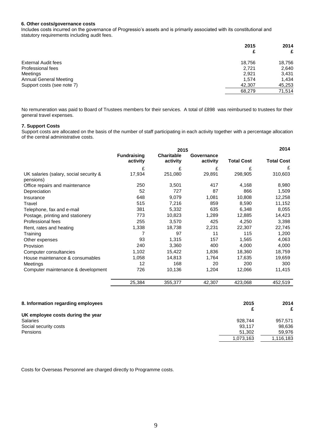### **6. Other costs/governance costs**

Includes costs incurred on the governance of Progressio's assets and is primarily associated with its constitutional and statutory requirements including audit fees.

|                               | 2015<br>£ | 2014<br>£ |
|-------------------------------|-----------|-----------|
| <b>External Audit fees</b>    | 18,756    | 18,756    |
| Professional fees             | 2.721     | 2,640     |
| Meetings                      | 2.921     | 3,431     |
| <b>Annual General Meeting</b> | 1.574     | 1,434     |
| Support costs (see note 7)    | 42,307    | 45,253    |
|                               | 68,279    | 71,514    |
|                               |           |           |

No remuneration was paid to Board of Trustees members for their services. A total of £898 was reimbursed to trustees for their general travel expenses.

# **7. Support Costs**

Support costs are allocated on the basis of the number of staff participating in each activity together with a percentage allocation of the central administrative costs.

|                                                     |                    | 2015              |            | 2014              |                   |
|-----------------------------------------------------|--------------------|-------------------|------------|-------------------|-------------------|
|                                                     | <b>Fundraising</b> | <b>Charitable</b> | Governance |                   |                   |
|                                                     | activity           | activity          | activity   | <b>Total Cost</b> | <b>Total Cost</b> |
|                                                     | £                  | £                 | £          | £                 | £                 |
| UK salaries (salary, social security &<br>pensions) | 17,934             | 251,080           | 29,891     | 298,905           | 310,603           |
| Office repairs and maintenance                      | 250                | 3,501             | 417        | 4,168             | 8,980             |
| Depreciation                                        | 52                 | 727               | 87         | 866               | 1,509             |
| Insurance                                           | 648                | 9,079             | 1,081      | 10,808            | 12,258            |
| Travel                                              | 515                | 7,216             | 859        | 8,590             | 11,152            |
| Telephone, fax and e-mail                           | 381                | 5,332             | 635        | 6,348             | 8,055             |
| Postage, printing and stationery                    | 773                | 10,823            | 1,289      | 12,885            | 14,423            |
| Professional fees                                   | 255                | 3,570             | 425        | 4,250             | 3,398             |
| Rent, rates and heating                             | 1,338              | 18,738            | 2,231      | 22,307            | 22,745            |
| Training                                            |                    | 97                | 11         | 115               | 1,200             |
| Other expenses                                      | 93                 | 1,315             | 157        | 1,565             | 4,063             |
| Provision                                           | 240                | 3,360             | 400        | 4,000             | 4,000             |
| Computer consultancies                              | 1,102              | 15,422            | 1,836      | 18,360            | 18,759            |
| House maintenance & consumables                     | 1,058              | 14,813            | 1,764      | 17,635            | 19,659            |
| Meetings                                            | 12                 | 168               | 20         | 200               | 300               |
| Computer maintenance & development                  | 726                | 10,136            | 1,204      | 12,066            | 11,415            |
|                                                     | 25,384             | 355,377           | 42,307     | 423,068           | 452,519           |

| 8. Information regarding employees | 2015      | 2014<br>£ |
|------------------------------------|-----------|-----------|
| UK employee costs during the year  |           |           |
| <b>Salaries</b>                    | 928.744   | 957.571   |
| Social security costs              | 93.117    | 98,636    |
| Pensions                           | 51.302    | 59.976    |
|                                    | 1,073,163 | 1,116,183 |

Costs for Overseas Personnel are charged directly to Programme costs.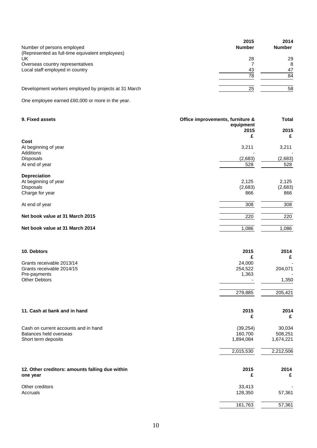|                                                      | 2015          | 2014          |
|------------------------------------------------------|---------------|---------------|
| Number of persons employed                           | <b>Number</b> | <b>Number</b> |
| (Represented as full-time equivalent employees)      |               |               |
| UK                                                   | 28            | 29            |
| Overseas country representatives                     |               | 8             |
| Local staff employed in country                      | 43            | 47            |
|                                                      | 78            | 84            |
| Development workers employed by projects at 31 March | 25            | 58            |

One employee earned £60,000 or more in the year.

| 9. Fixed assets                                 | Office improvements, furniture &<br>equipment<br>2015 | <b>Total</b><br>2015 |
|-------------------------------------------------|-------------------------------------------------------|----------------------|
| Cost                                            | £                                                     | £                    |
| At beginning of year                            | 3,211                                                 | 3,211                |
| Additions<br>Disposals                          | (2,683)                                               | (2,683)              |
| At end of year                                  | 528                                                   | 528                  |
| Depreciation                                    |                                                       |                      |
| At beginning of year                            | 2,125                                                 | 2,125                |
| Disposals                                       | (2,683)                                               | (2,683)              |
| Charge for year                                 | 866                                                   | 866                  |
| At end of year                                  | 308                                                   | 308                  |
| Net book value at 31 March 2015                 | 220                                                   | 220                  |
|                                                 |                                                       |                      |
| Net book value at 31 March 2014                 | 1,086                                                 | 1,086                |
| 10. Debtors                                     | 2015                                                  | 2014                 |
|                                                 | £                                                     | £                    |
| Grants receivable 2013/14                       | 24,000                                                |                      |
| Grants receivable 2014/15<br>Pre-payments       | 254,522<br>1,363                                      | 204,071              |
| <b>Other Debtors</b>                            |                                                       | 1,350                |
|                                                 |                                                       |                      |
|                                                 | 279,885                                               | 205,421              |
| 11. Cash at bank and in hand                    | 2015                                                  | 2014                 |
|                                                 | £                                                     | £                    |
| Cash on current accounts and in hand            | (39, 254)                                             | 30,034               |
| Balances held overseas                          | 160,700                                               | 508,251              |
| Short term deposits                             | 1,894,084                                             | 1,674,221            |
|                                                 | 2,015,530                                             | 2,212,506            |
| 12. Other creditors: amounts falling due within | 2015                                                  | 2014                 |
| one year                                        | £                                                     | £                    |
| Other creditors                                 | 33,413                                                |                      |
| Accruals                                        | 128,350                                               | 57,361               |
|                                                 | 161,763                                               | 57,361               |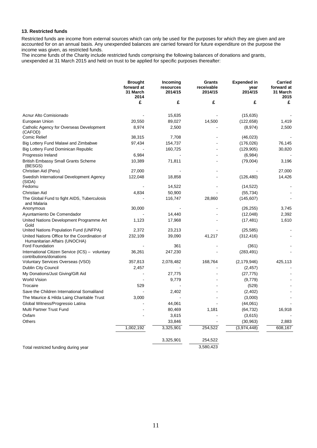# **13. Restricted funds**

Restricted funds are income from external sources which can only be used for the purposes for which they are given and are accounted for on an annual basis. Any unexpended balances are carried forward for future expenditure on the purpose the income was given, as restricted funds.

The income funds of the Charity include restricted funds comprising the following balances of donations and grants, unexpended at 31 March 2015 and held on trust to be applied for specific purposes thereafter:

|                                                                                | <b>Brought</b><br>forward at<br>31 March<br>2014 | Incoming<br>resources<br>2014/15 | <b>Grants</b><br>receivable<br>2014/15 | <b>Expended in</b><br>year<br>2014/15 | Carried<br>forward at<br>31 March |
|--------------------------------------------------------------------------------|--------------------------------------------------|----------------------------------|----------------------------------------|---------------------------------------|-----------------------------------|
|                                                                                | £                                                | £                                | £                                      | £                                     | 2015<br>£                         |
| Acnur Alto Comisionado                                                         |                                                  | 15,635                           |                                        | (15, 635)                             |                                   |
| European Union                                                                 | 20,550                                           | 89,027                           | 14,500                                 | (122, 658)                            | 1,419                             |
| Catholic Agency for Overseas Development<br>(CAFOD)                            | 8,974                                            | 2,500                            |                                        | (8,974)                               | 2,500                             |
| Comic Relief                                                                   | 38,315                                           | 7,708                            |                                        | (46, 023)                             |                                   |
| Big Lottery Fund Malawi and Zimbabwe                                           | 97,434                                           | 154,737                          |                                        | (176, 026)                            | 76,145                            |
| Big Lottery Fund Dominican Republic                                            |                                                  | 160,725                          |                                        | (129, 905)                            | 30,820                            |
| Progressio Ireland                                                             | 6,984                                            |                                  |                                        | (6,984)                               |                                   |
| <b>British Embassy Small Grants Scheme</b><br>(BESGS)                          | 10,389                                           | 71,811                           |                                        | (79,004)                              | 3,196                             |
| Christian Aid (Peru)                                                           | 27,000                                           |                                  |                                        |                                       | 27,000                            |
| Swedish International Development Agency<br>(SIDA)                             | 122,048                                          | 18,858                           |                                        | (126, 480)                            | 14,426                            |
| Fedomu                                                                         |                                                  | 14,522                           |                                        | (14, 522)                             |                                   |
| Christian Aid                                                                  | 4,834                                            | 50,900                           |                                        | (55, 734)                             |                                   |
| The Global Fund to fight AIDS, Tuberculosis<br>and Malaria                     |                                                  | 116,747                          | 28,860                                 | (145, 607)                            |                                   |
| Anonymous                                                                      | 30,000                                           |                                  |                                        | (26, 255)                             | 3,745                             |
| Ayuntamiento De Comendador                                                     |                                                  | 14,440                           |                                        | (12,048)                              | 2,392                             |
| United Nations Development Programme Art<br>Gold                               | 1,123                                            | 17,968                           |                                        | (17, 481)                             | 1,610                             |
| United Nations Population Fund (UNFPA)                                         | 2,372                                            | 23,213                           |                                        | (25, 585)                             |                                   |
| United Nations Office for the Coordination of<br>Humanitarian Affairs (UNOCHA) | 232,109                                          | 39,090                           | 41,217                                 | (312, 416)                            |                                   |
| <b>Ford Foundation</b>                                                         |                                                  | 361                              |                                        | (361)                                 |                                   |
| International Citizen Service (ICS) - voluntary<br>contributions/donations     | 36,261                                           | 247,230                          |                                        | (283, 491)                            |                                   |
| Voluntary Services Overseas (VSO)                                              | 357,813                                          | 2,078,482                        | 168,764                                | (2, 179, 946)                         | 425,113                           |
| Dublin City Council                                                            | 2,457                                            |                                  |                                        | (2, 457)                              |                                   |
| My Donations/Just Giving/Gift Aid                                              |                                                  | 27,775                           |                                        | (27, 775)                             |                                   |
| <b>World Vision</b>                                                            |                                                  | 9,779                            |                                        | (9,779)                               |                                   |
| Trocaire                                                                       | 529                                              |                                  |                                        | (529)                                 |                                   |
| Save the Children International Somaliland                                     |                                                  | 2,402                            |                                        | (2,402)                               |                                   |
| The Maurice & Hilda Laing Charitable Trust                                     | 3,000                                            |                                  |                                        | (3,000)                               |                                   |
| Global Witness/Progressio Latina                                               |                                                  | 44,061                           |                                        | (44,061)                              |                                   |
| Multi Partner Trust Fund                                                       |                                                  | 80,469                           | 1,181                                  | (64, 732)                             | 16,918                            |
| Oxfam                                                                          |                                                  | 3,615                            |                                        | (3,615)                               |                                   |
| Others                                                                         |                                                  | 33,846                           |                                        | (30, 963)                             | 2,883                             |
|                                                                                | 1,002,192                                        | 3,325,901                        | 254,522                                | (3,974,448)                           | 608,167                           |
|                                                                                |                                                  | 3,325,901                        | 254,522                                |                                       |                                   |
| Total restricted funding during year                                           |                                                  |                                  | 3,580,423                              |                                       |                                   |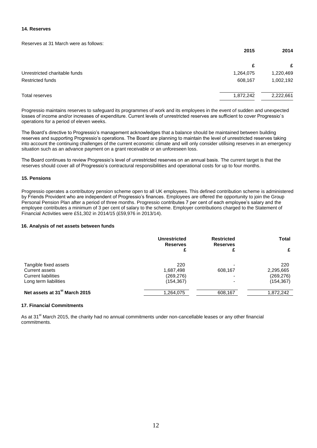### **14. Reserves**

Reserves at 31 March were as follows:

|                               | 2015      | 2014      |
|-------------------------------|-----------|-----------|
|                               | £         | £         |
| Unrestricted charitable funds | 1,264,075 | 1,220,469 |
| <b>Restricted funds</b>       | 608,167   | 1,002,192 |
| Total reserves                | 1,872,242 | 2,222,661 |

Progressio maintains reserves to safeguard its programmes of work and its employees in the event of sudden and unexpected losses of income and/or increases of expenditure. Current levels of unrestricted reserves are sufficient to cover Progressio's operations for a period of eleven weeks.

The Board's directive to Progressio's management acknowledges that a balance should be maintained between building reserves and supporting Progressio's operations. The Board are planning to maintain the level of unrestricted reserves taking into account the continuing challenges of the current economic climate and will only consider utilising reserves in an emergency situation such as an advance payment on a grant receivable or an unforeseen loss.

The Board continues to review Progressio's level of unrestricted reserves on an annual basis. The current target is that the reserves should cover all of Progressio's contractural responsibilities and operational costs for up to four months.

### **15. Pensions**

Progressio operates a contributory pension scheme open to all UK employees. This defined contribution scheme is administered by Friends Provident who are independent of Progressio's finances. Employees are offered the opportunity to join the Group Personal Pension Plan after a period of three months. Progressio contributes 7 per cent of each employee's salary and the employee contributes a minimum of 3 per cent of salary to the scheme. Employer contributions charged to the Statement of Financial Activities were £51,302 in 2014/15 (£59,976 in 2013/14).

#### **16. Analysis of net assets between funds**

|                                           | <b>Unrestricted</b><br><b>Reserves</b> | <b>Restricted</b><br><b>Reserves</b> | Total      |
|-------------------------------------------|----------------------------------------|--------------------------------------|------------|
|                                           | £                                      |                                      |            |
| Tangible fixed assets                     | 220                                    |                                      | 220        |
| Current assets                            | 1,687,498                              | 608,167                              | 2,295,665  |
| <b>Current liabilities</b>                | (269, 276)                             | $\overline{\phantom{0}}$             | (269, 276) |
| Long term liabilities                     | (154, 367)                             | $\overline{\phantom{0}}$             | (154, 367) |
| Net assets at 31 <sup>st</sup> March 2015 | 1,264,075                              | 608,167                              | 1,872,242  |

# **17. Financial Commitments**

As at 31<sup>st</sup> March 2015, the charity had no annual commitments under non-cancellable leases or any other financial commitments.